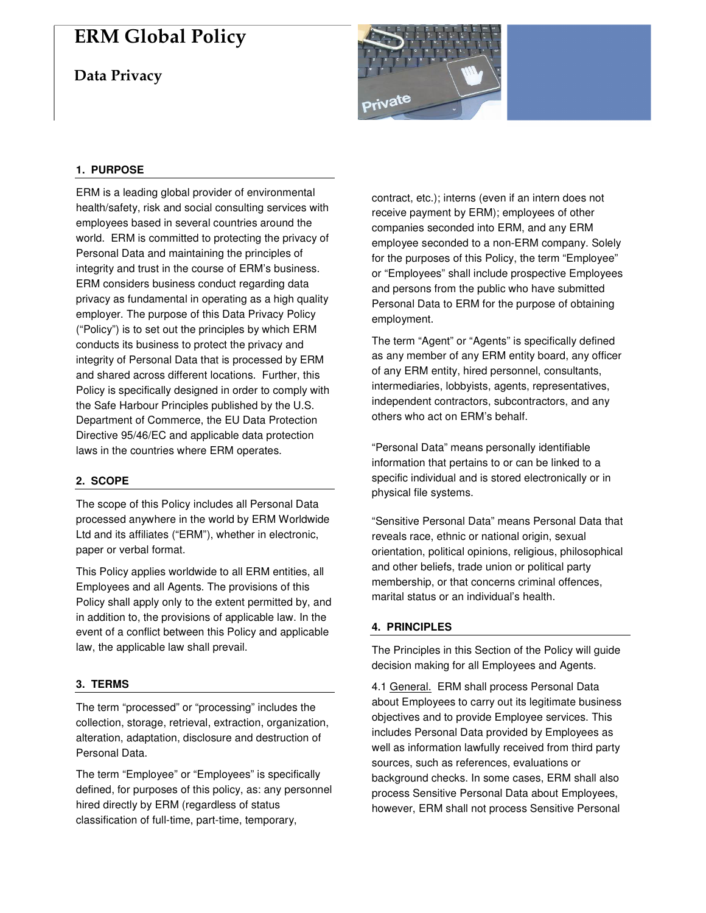# **ERM Global Policy**

**Data Privacy** 



## **1. PURPOSE**

ERM is a leading global provider of environmental health/safety, risk and social consulting services with employees based in several countries around the world. ERM is committed to protecting the privacy of Personal Data and maintaining the principles of integrity and trust in the course of ERM's business. ERM considers business conduct regarding data privacy as fundamental in operating as a high quality employer. The purpose of this Data Privacy Policy ("Policy") is to set out the principles by which ERM conducts its business to protect the privacy and integrity of Personal Data that is processed by ERM and shared across different locations. Further, this Policy is specifically designed in order to comply with the Safe Harbour Principles published by the U.S. Department of Commerce, the EU Data Protection Directive 95/46/EC and applicable data protection laws in the countries where ERM operates.

### **2. SCOPE**

The scope of this Policy includes all Personal Data processed anywhere in the world by ERM Worldwide Ltd and its affiliates ("ERM"), whether in electronic, paper or verbal format.

This Policy applies worldwide to all ERM entities, all Employees and all Agents. The provisions of this Policy shall apply only to the extent permitted by, and in addition to, the provisions of applicable law. In the event of a conflict between this Policy and applicable law, the applicable law shall prevail.

### **3. TERMS**

The term "processed" or "processing" includes the collection, storage, retrieval, extraction, organization, alteration, adaptation, disclosure and destruction of Personal Data.

The term "Employee" or "Employees" is specifically defined, for purposes of this policy, as: any personnel hired directly by ERM (regardless of status classification of full-time, part-time, temporary,

contract, etc.); interns (even if an intern does not receive payment by ERM); employees of other companies seconded into ERM, and any ERM employee seconded to a non-ERM company. Solely for the purposes of this Policy, the term "Employee" or "Employees" shall include prospective Employees and persons from the public who have submitted Personal Data to ERM for the purpose of obtaining employment.

The term "Agent" or "Agents" is specifically defined as any member of any ERM entity board, any officer of any ERM entity, hired personnel, consultants, intermediaries, lobbyists, agents, representatives, independent contractors, subcontractors, and any others who act on ERM's behalf.

"Personal Data" means personally identifiable information that pertains to or can be linked to a specific individual and is stored electronically or in physical file systems.

"Sensitive Personal Data" means Personal Data that reveals race, ethnic or national origin, sexual orientation, political opinions, religious, philosophical and other beliefs, trade union or political party membership, or that concerns criminal offences, marital status or an individual's health.

### **4. PRINCIPLES**

The Principles in this Section of the Policy will guide decision making for all Employees and Agents.

4.1 General. ERM shall process Personal Data about Employees to carry out its legitimate business objectives and to provide Employee services. This includes Personal Data provided by Employees as well as information lawfully received from third party sources, such as references, evaluations or background checks. In some cases, ERM shall also process Sensitive Personal Data about Employees, however, ERM shall not process Sensitive Personal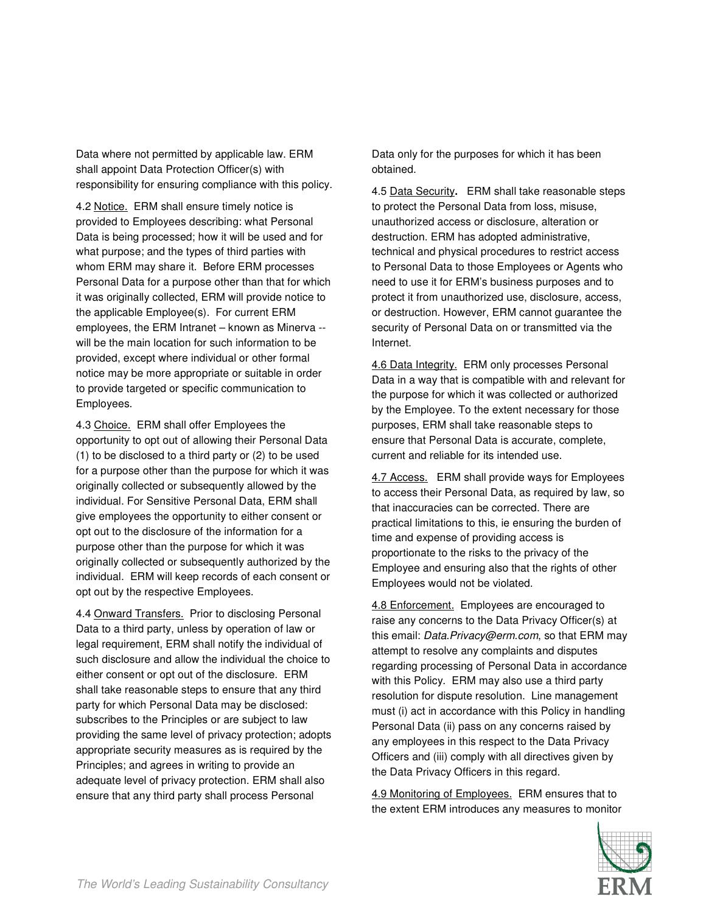Data where not permitted by applicable law. ERM shall appoint Data Protection Officer(s) with responsibility for ensuring compliance with this policy.

4.2 Notice.ERM shall ensure timely notice is provided to Employees describing: what Personal Data is being processed; how it will be used and for what purpose; and the types of third parties with whom ERM may share it. Before ERM processes Personal Data for a purpose other than that for which it was originally collected, ERM will provide notice to the applicable Employee(s). For current ERM employees, the ERM Intranet – known as Minerva - will be the main location for such information to be provided, except where individual or other formal notice may be more appropriate or suitable in order to provide targeted or specific communication to Employees.

4.3 Choice. ERM shall offer Employees the opportunity to opt out of allowing their Personal Data (1) to be disclosed to a third party or (2) to be used for a purpose other than the purpose for which it was originally collected or subsequently allowed by the individual. For Sensitive Personal Data, ERM shall give employees the opportunity to either consent or opt out to the disclosure of the information for a purpose other than the purpose for which it was originally collected or subsequently authorized by the individual. ERM will keep records of each consent or opt out by the respective Employees.

4.4 Onward Transfers. Prior to disclosing Personal Data to a third party, unless by operation of law or legal requirement, ERM shall notify the individual of such disclosure and allow the individual the choice to either consent or opt out of the disclosure. ERM shall take reasonable steps to ensure that any third party for which Personal Data may be disclosed: subscribes to the Principles or are subject to law providing the same level of privacy protection; adopts appropriate security measures as is required by the Principles; and agrees in writing to provide an adequate level of privacy protection. ERM shall also ensure that any third party shall process Personal

Data only for the purposes for which it has been obtained.

4.5 Data Security**.** ERM shall take reasonable steps to protect the Personal Data from loss, misuse, unauthorized access or disclosure, alteration or destruction. ERM has adopted administrative, technical and physical procedures to restrict access to Personal Data to those Employees or Agents who need to use it for ERM's business purposes and to protect it from unauthorized use, disclosure, access, or destruction. However, ERM cannot guarantee the security of Personal Data on or transmitted via the Internet.

4.6 Data Integrity. ERM only processes Personal Data in a way that is compatible with and relevant for the purpose for which it was collected or authorized by the Employee. To the extent necessary for those purposes, ERM shall take reasonable steps to ensure that Personal Data is accurate, complete, current and reliable for its intended use.

4.7 Access. ERM shall provide ways for Employees to access their Personal Data, as required by law, so that inaccuracies can be corrected. There are practical limitations to this, ie ensuring the burden of time and expense of providing access is proportionate to the risks to the privacy of the Employee and ensuring also that the rights of other Employees would not be violated.

4.8 Enforcement. Employees are encouraged to raise any concerns to the Data Privacy Officer(s) at this email: Data. Privacy@erm.com, so that ERM may attempt to resolve any complaints and disputes regarding processing of Personal Data in accordance with this Policy. ERM may also use a third party resolution for dispute resolution. Line management must (i) act in accordance with this Policy in handling Personal Data (ii) pass on any concerns raised by any employees in this respect to the Data Privacy Officers and (iii) comply with all directives given by the Data Privacy Officers in this regard.

4.9 Monitoring of Employees. ERM ensures that to the extent ERM introduces any measures to monitor